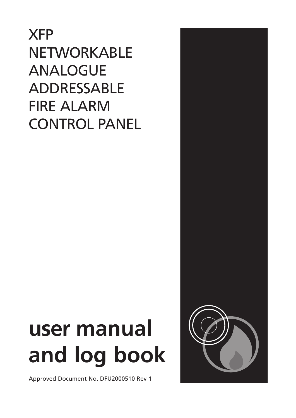XFP NETWORKABLE ANALOGUE ADDRESSABLE FIRE ALARM CONTROL PANEL

# **user manual and log book**

Approved Document No. DFU2000510 Rev 1

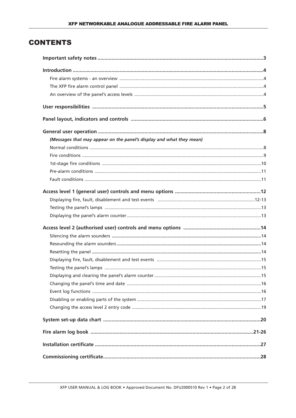# **CONTENTS**

| (Messages that may appear on the panel's display and what they mean) |  |
|----------------------------------------------------------------------|--|
|                                                                      |  |
|                                                                      |  |
|                                                                      |  |
|                                                                      |  |
|                                                                      |  |
|                                                                      |  |
|                                                                      |  |
|                                                                      |  |
|                                                                      |  |
|                                                                      |  |
|                                                                      |  |
|                                                                      |  |
|                                                                      |  |
|                                                                      |  |
|                                                                      |  |
|                                                                      |  |
|                                                                      |  |
|                                                                      |  |
|                                                                      |  |
|                                                                      |  |
|                                                                      |  |
|                                                                      |  |
|                                                                      |  |
|                                                                      |  |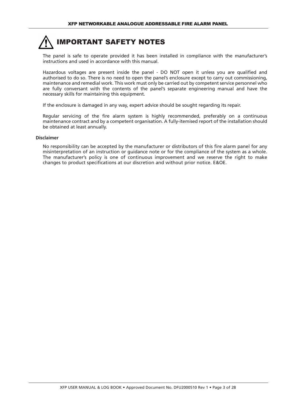

The panel is safe to operate provided it has been installed in compliance with the manufacturer's instructions and used in accordance with this manual.

Hazardous voltages are present inside the panel - DO NOT open it unless you are qualified and authorised to do so. There is no need to open the panel's enclosure except to carry out commissioning, maintenance and remedial work. This work must only be carried out by competent service personnel who are fully conversant with the contents of the panel's separate engineering manual and have the necessary skills for maintaining this equipment.

If the enclosure is damaged in any way, expert advice should be sought regarding its repair.

Regular servicing of the fire alarm system is highly recommended, preferably on a continuous maintenance contract and by a competent organisation. A fully-itemised report of the installation should be obtained at least annually.

#### **Disclaimer**

No responsibility can be accepted by the manufacturer or distributors of this fire alarm panel for any misinterpretation of an instruction or guidance note or for the compliance of the system as a whole. The manufacturer's policy is one of continuous improvement and we reserve the right to make changes to product specifications at our discretion and without prior notice. E&OE.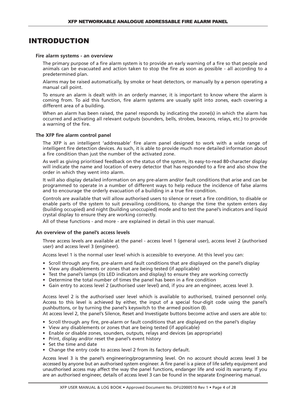# INTRODUCTION

#### **Fire alarm systems - an overview**

The primary purpose of a fire alarm system is to provide an early warning of a fire so that people and animals can be evacuated and action taken to stop the fire as soon as possible - all according to a predetermined plan.

Alarms may be raised automatically, by smoke or heat detectors, or manually by a person operating a manual call point.

To ensure an alarm is dealt with in an orderly manner, it is important to know where the alarm is coming from. To aid this function, fire alarm systems are usually split into zones, each covering a different area of a building.

When an alarm has been raised, the panel responds by indicating the zone(s) in which the alarm has occurred and activating all relevant outputs (sounders, bells, strobes, beacons, relays, etc.) to provide a warning of the fire.

#### **The XFP fire alarm control panel**

The XFP is an intelligent 'addressable' fire alarm panel designed to work with a wide range of intelligent fire detection devices. As such, it is able to provide much more detailed information about a fire condition than just the number of the activated zone.

As well as giving prioritised feedback on the status of the system, its easy-to-read 80-character display will indicate the name and location of every detector that has responded to a fire and also show the order in which they went into alarm.

It will also display detailed information on any pre-alarm and/or fault conditions that arise and can be programmed to operate in a number of different ways to help reduce the incidence of false alarms and to encourage the orderly evacuation of a building in a true fire condition.

Controls are available that will allow authorised users to silence or reset a fire condition, to disable or enable parts of the system to suit prevailing conditions, to change the time the system enters day (building occupied) and night (building unoccupied) mode and to test the panel's indicators and liquid crystal display to ensure they are working correctly.

All of these functions - and more - are explained in detail in this user manual.

#### **An overview of the panel's access levels**

Three access levels are available at the panel - access level 1 (general user), access level 2 (authorised user) and access level 3 (engineer).

Access level 1 is the normal user level which is accessible to everyone. At this level you can:

- Scroll through any fire, pre-alarm and fault conditions that are displayed on the panel's display
- View any disablements or zones that are being tested (if applicable)
- Test the panel's lamps (its LED indicators and display) to ensure they are working correctly
- Determine the total number of times the panel has been in a fire condition
- Gain entry to access level 2 (authorised user level) and, if you are an engineer, access level 3.

Access level 2 is the authorised user level which is available to authorised, trained personnel only. Access to this level is achieved by either, the input of a special four-digit code using the panel's pushbuttons, or by turning the panel's keyswitch to the armed position (**I**).

At access level 2, the panel's Silence, Reset and Investigate buttons become active and users are able to:

- Scroll through any fire, pre-alarm or fault conditions that are displayed on the panel's display
- View any disablements or zones that are being tested (if applicable)
- Enable or disable zones, sounders, outputs, relays and devices (as appropriate)
- Print, display and/or reset the panel's event history
- Set the time and date
- Change the entry code to access level 2 from its factory default.

Access level 3 is the panel's engineering/programming level. On no account should access level 3 be accessed by anyone but an authorised system engineer. A fire panel is a piece of life safety equipment and unauthorised access may affect the way the panel functions, endanger life and void its warranty. If you are an authorised engineer, details of access level 3 can be found in the separate Engineering manual.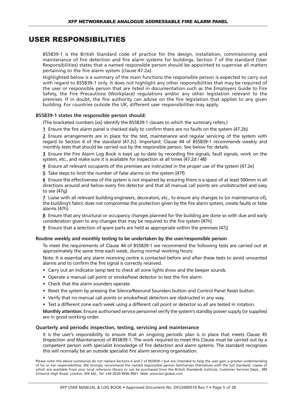# USER RESPONSIBILITIES

BS5839-1 is the British Standard code of practice for the design, installation, commissioning and maintenance of fire detection and fire alarm systems for buildings. Section 7 of the standard (User Responsibilities) states that a named responsible person should be appointed to supervise all matters pertaining to the fire alarm system {clause 47.2a}.

Highlighted below is a summary of the main functions the responsible person is expected to carry out with regard to BS5839-1 only. It does not highlight any other responsibilities that may be required of the user or responsible person that are listed in documentation such as the Employers Guide to Fire Safety, the Fire Precautions (Workplace) regulations and/or any other legislation relevant to the premises. If in doubt, the fire authority can advise on the fire legislation that applies to any given building. For countries outside the UK, different user responsibilities may apply.

#### **BS5839-1 states the responsible person should:**

(The bracketed numbers {xx} identify the BS5839-1 clauses to which the summary refers.)

**1** Ensure the fire alarm panel is checked daily to confirm there are no faults on the system {47.2b}

**2** Ensure arrangements are in place for the test, maintenance and regular servicing of the system with regard to Section 6 of the standard {47.2c}. Important: Clause 44 of BS5839-1 recommends weekly and monthly tests that should be carried out by the responsible person. See below for details.

**3** Ensure the Fire Alarm Log Book is kept up to date by recording fire signals, fault signals, work on the system, etc., and make sure it is available for inspection at all times {47.2d / 48}

**4** Ensure all relevant occupants of the premises are instructed in the proper use of the system {47.2e}

**5** Take steps to limit the number of false alarms on the system {47f}

**6** Ensure the effectiveness of the system is not impaired by ensuring there is a space of at least 500mm in all directions around and below every fire detector and that all manual call points are unobstructed and easy to see {47g}

**7** Liaise with all relevant building engineers, decorators, etc., to ensure any changes to (or maintenance of), the building's fabric does not compromise the protection given by the fire alarm system, create faults or false alarms {47h}

**8** Ensure that any structural or occupancy changes planned for the building are done so with due and early consideration given to any changes that may be required to the fire system {47h}

**9** Ensure that a selection of spare parts are held as appropriate within the premises {47j}

#### **Routine weekly and monthly testing to be undertaken by the user/responsible person**

To meet the requirements of Clause 44 of BS5839-1 we recommend the following tests are carried out at approximately the same time each week, during normal working hours:

Note: It is essential any alarm receiving centre is contacted before and after these tests to avoid unwanted alarms and to confirm the fire signal is correctly received.

- Carry out an Indicator lamp test to check all zone lights show and the beeper sounds.
- Operate a manual call point or smoke/heat detector to test the fire alarm.
- Check that the alarm sounders operate.
- Reset the system by pressing the Silence/Resound Sounders button and Control Panel Reset button.
- Verify that no manual call points or smoke/heat detectors are obstructed in any way.
- Test a different zone each week using a different call point or detector so all are tested in rotation.

**Monthly attention:** Ensure authorised service personnel verify the system'sstandby powersupply (orsupplies) are in good working order.

#### **Quarterly and periodic inspection, testing, servicing and maintenance**

It is the user's responsibility to ensure that an ongoing periodic plan is in place that meets Clause 45 (Inspection and Maintenance) of BS5839-1. The work required to meet this Clause must be carried out by a competent person with specialist knowledge of fire detection and alarm systems. The standard recognises this will normally be an outside specialist fire alarm servicing organisation.

Please note: the above summaries do not replace Sections 6 and 7 of BS5839-1 but are intended to help the user gain a greater understanding of his or her responsibilities. We strongly recommend the named responsible person familiarises themselves with the full standard, copies of which are available from your local reference library or can be purchased from the British Standards Institute, Customer Services Dept., 389 Chiswick High Road, London, W4 4AL. Tel: +44 (0)20 8996 9001. Web: www.bsi-global.com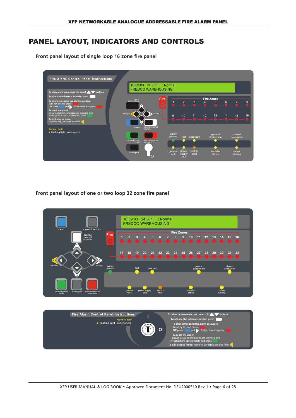# PANEL LAYOUT, INDICATORS AND CONTROLS

**Front panel layout of single loop 16 zone fire panel**



**Front panel layout of one or two loop 32 zone fire panel**

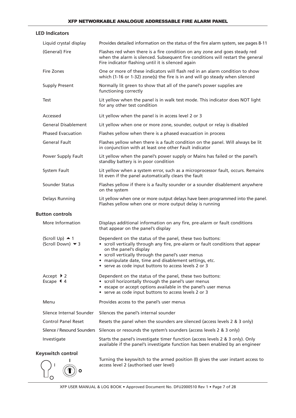| <b>LED Indicators</b>                                 |                                                                                                                                                                                                                                                                                                                                                |
|-------------------------------------------------------|------------------------------------------------------------------------------------------------------------------------------------------------------------------------------------------------------------------------------------------------------------------------------------------------------------------------------------------------|
| Liquid crystal display                                | Provides detailed information on the status of the fire alarm system, see pages 8-11                                                                                                                                                                                                                                                           |
| (General) Fire                                        | Flashes red when there is a fire condition on any zone and goes steady red<br>when the alarm is silenced. Subsequent fire conditions will restart the general<br>Fire indicator flashing until it is silenced again                                                                                                                            |
| Fire Zones                                            | One or more of these indicators will flash red in an alarm condition to show<br>which (1-16 or 1-32) zone(s) the fire is in and will go steady when silenced                                                                                                                                                                                   |
| <b>Supply Present</b>                                 | Normally lit green to show that all of the panel's power supplies are<br>functioning correctly                                                                                                                                                                                                                                                 |
| Test                                                  | Lit yellow when the panel is in walk test mode. This indicator does NOT light<br>for any other test condition                                                                                                                                                                                                                                  |
| Accessed                                              | Lit yellow when the panel is in access level 2 or 3                                                                                                                                                                                                                                                                                            |
| <b>General Disablement</b>                            | Lit yellow when one or more zone, sounder, output or relay is disabled                                                                                                                                                                                                                                                                         |
| <b>Phased Evacuation</b>                              | Flashes yellow when there is a phased evacuation in process                                                                                                                                                                                                                                                                                    |
| <b>General Fault</b>                                  | Flashes yellow when there is a fault condition on the panel. Will always be lit<br>in conjunction with at least one other Fault indicator                                                                                                                                                                                                      |
| Power Supply Fault                                    | Lit yellow when the panel's power supply or Mains has failed or the panel's<br>standby battery is in poor condition                                                                                                                                                                                                                            |
| System Fault                                          | Lit yellow when a system error, such as a microprocessor fault, occurs. Remains<br>lit even if the panel automatically clears the fault                                                                                                                                                                                                        |
| Sounder Status                                        | Flashes yellow if there is a faulty sounder or a sounder disablement anywhere<br>on the system                                                                                                                                                                                                                                                 |
| Delays Running                                        | Lit yellow when one or more output delays have been programmed into the panel.<br>Flashes yellow when one or more output delay is running                                                                                                                                                                                                      |
| <b>Button controls</b>                                |                                                                                                                                                                                                                                                                                                                                                |
| More Information                                      | Displays additional information on any fire, pre-alarm or fault conditions<br>that appear on the panel's display                                                                                                                                                                                                                               |
| $(Scroll Up)$ 4 1<br>(Scroll Down) <del>▼</del> 3     | Dependent on the status of the panel, these two buttons:<br>• scroll vertically through any fire, pre-alarm or fault conditions that appear<br>on the panel's display<br>• scroll vertically through the panel's user menus<br>• manipulate date, time and disablement settings, etc.<br>• serve as code input buttons to access levels 2 or 3 |
| Accept $\triangleright$ 2<br>Escape $\triangleleft$ 4 | Dependent on the status of the panel, these two buttons:<br>• scroll horizontally through the panel's user menus<br>• escape or accept options available in the panel's user menus<br>• serve as code input buttons to access levels 2 or 3                                                                                                    |
| Menu                                                  | Provides access to the panel's user menus                                                                                                                                                                                                                                                                                                      |
| Silence Internal Sounder                              | Silences the panel's internal sounder                                                                                                                                                                                                                                                                                                          |
| <b>Control Panel Reset</b>                            | Resets the panel when the sounders are silenced (access levels 2 & 3 only)                                                                                                                                                                                                                                                                     |
| Silence / Resound Sounders                            | Silences or resounds the system's sounders (access levels 2 & 3 only)                                                                                                                                                                                                                                                                          |
| Investigate                                           | Starts the panel's investigate timer function (access levels 2 & 3 only). Only<br>available if the panel's investigate function has been enabled by an engineer                                                                                                                                                                                |
| Keyswitch control                                     | Turning the keyswitch to the armed position (I) gives the user instant access to<br>access level 2 (authorised user level)                                                                                                                                                                                                                     |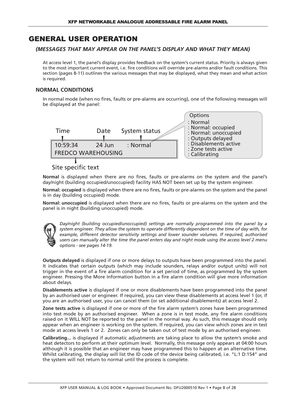# GENERAL USER OPERATION

# *(MESSAGES THAT MAY APPEAR ON THE PANEL'S DISPLAY AND WHAT THEY MEAN)*

At access level 1, the panel's display provides feedback on the system's current status. Priority is always given to the most important current event, i.e. fire conditions will override pre-alarms and/or fault conditions. This section (pages 8-11) outlines the various messages that may be displayed, what they mean and what action is required.

# **NORMAL CONDITIONS**

In normal mode (when no fires, faults or pre-alarms are occurring), one of the following messages will be displayed at the panel:



# Site specific text

**Normal** is displayed when there are no fires, faults or pre-alarms on the system and the panel's day/night (building occupied/unoccupied) facility HAS NOT been set up by the system engineer.

**Normal: occupied** is displayed when there are no fires, faults or pre-alarms on the system and the panel is in day (building occupied) mode.

**Normal: unoccupied** is displayed when there are no fires, faults or pre-alarms on the system and the panel is in night (building unoccupied) mode.



*Day/night (building occupied/unoccupied) settings are normally programmed into the panel by a system engineer. They allow the system to operate differently dependent on the time of day with, for example, different detector sensitivity settings and lower sounder volumes. If required, authorised* users can manually alter the time the panel enters day and night mode using the access level 2 menu *options - see pages 14-19.*

**Outputs delayed** is displayed if one or more delays to outputs have been programmed into the panel. It indicates that certain outputs (which may include sounders, relays and/or output units) will not trigger in the event of a fire alarm condition for a set period of time, as programmed by the system engineer. Pressing the More Information button in a fire alarm condition will give more information about delays.

**Disablements active** is displayed if one or more disablements have been programmed into the panel by an authorised user or engineer. If required, you can view these disablements at access level 1 (or, if you are an authorised user, you can cancel them (or set additional disablements) at access level 2.

**Zone tests active** is displayed if one or more of the fire alarm system's zones have been programmed into test mode by an authorised engineer. When a zone is in test mode, any fire alarm conditions raised on it WILL NOT be reported to the panel in the normal way. As such, this message should only appear when an engineer is working on the system. If required, you can view which zones are in test mode at access levels 1 or 2. Zones can only be taken out of test mode by an authorised engineer.

**Calibrating...** is displayed if automatic adjustments are taking place to allow the system's smoke and heat detectors to perform at their optimum level. Normally, this message only appears at 04:00 hours although it is possible that an engineer may have programmed this to happen at an alternative time. Whilst calibrating, the display will list the ID code of the device being calibrated, i.e. "L:1 D:154" and the system will not return to normal until the process is complete.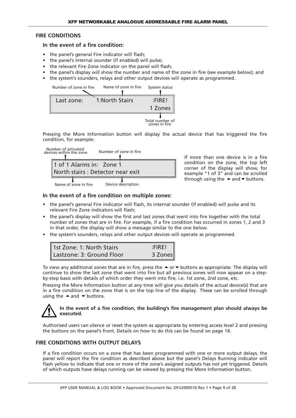# **FIRE CONDITIONS**

## **In the event of a fire condition:**

- the panel's general Fire indicator will flash:
- the panel's internal sounder (if enabled) will pulse;
- the relevant Fire Zone indicator on the panel will flash;
- the panel's display will show the number and name of the zone in fire (see example below); and
- the system's sounders, relays and other output devices will operate as programmed.



Pressing the More Information button will display the actual device that has triggered the fire condition, for example:



If more than one device is in a fire condition on the zone, the top left corner of the display will show, for example "1 of 3" and can be scrolled through using the  $\triangle$  and  $\blacktriangledown$  buttons.

## **In the event of a fire condition on multiple zones:**

- the panel's general Fire indicator will flash, its internal sounder (if enabled) will pulse and its relevant Fire Zone indicators will flash;
- the panel's display will show the first and last zones that went into fire together with the total number of zones that are in fire. For example, if a fire condition has occurred in zones 1, 2 and 3 in that order, the display will show a message similar to the one below.
- the system's sounders, relays and other output devices will operate as programmed.

| 1st Zone: 1: North Stairs | $:$ FIRE! |
|---------------------------|-----------|
| Lastzone: 3: Ground Floor | 3 Zones   |

To view any additional zones that are in fire, press the  $\triangle$  or  $\blacktriangledown$  buttons as appropriate. The display will continue to show the last zone that went into fire but all previous zones will now appear on a stepby-step basis with details of which order they went into fire, i.e. 1st zone, 2nd zone, etc.

Pressing the More Information button at any time will give you details of the actual device(s) that are in a fire condition on the zone that is on the top line of the display. These can be scrolled through using the  $\triangle$  and  $\blacktriangledown$  buttons.

# **In the event of a fire condition, the building's fire management plan should always be executed.**

Authorised users can silence or reset the system as appropriate by entering access level 2 and pressing the buttons on the panel's front. Details on how to do this can be found on page 14.

# **FIRE CONDITIONS WITH OUTPUT DELAYS**

If a fire condition occurs on a zone that has been programmed with one or more output delays, the panel will report the fire condition as described above but the panel's Delays Running indicator will flash yellow to indicate that one or more of the zone's assigned outputs has not yet triggered. Details of which outputs have delays running can be viewed by pressing the More Information button.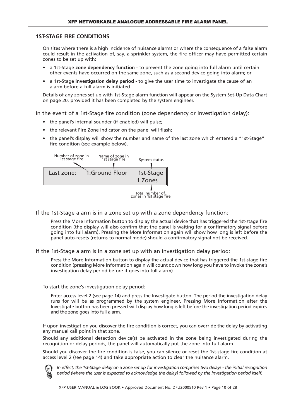## **1ST-STAGE FIRE CONDITIONS**

On sites where there is a high incidence of nuisance alarms or where the consequence of a false alarm could result in the activation of, say, a sprinkler system, the fire officer may have permitted certain zones to be set up with:

- a 1st-Stage **zone dependency function** to prevent the zone going into full alarm until certain other events have occurred on the same zone, such as a second device going into alarm; or
- a 1st-Stage **investigation delay period** to give the user time to investigate the cause of an alarm before a full alarm is initiated.

Details of any zones set up with 1st-Stage alarm function will appear on the System Set-Up Data Chart on page 20, provided it has been completed by the system engineer.

In the event of a 1st-Stage fire condition (zone dependency or investigation delay):

- the panel's internal sounder (if enabled) will pulse;
- the relevant Fire Zone indicator on the panel will flash;
- the panel's display will show the number and name of the last zone which entered a "1st-Stage" fire condition (see example below).

| Number of zone in<br>1st stage fire | Name of zone in<br>1st stage fire | System status        |
|-------------------------------------|-----------------------------------|----------------------|
| Last zone:                          | 1:Ground Floor                    | 1st-Stage<br>1 Zones |
|                                     |                                   | Total number of      |

If the 1st-Stage alarm is in a zone set up with a zone dependency function:

Press the More Information button to display the actual device that has triggered the 1st-stage fire condition (the display will also confirm that the panel is waiting for a confirmatory signal before going into full alarm). Pressing the More Information again will show how long is left before the panel auto-resets (returns to normal mode) should a confirmatory signal not be received.

If the 1st-Stage alarm is in a zone set up with an investigation delay period:

Press the More Information button to display the actual device that has triggered the 1st-stage fire condition (pressing More Information again will count down how long you have to invoke the zone's investigation delay period before it goes into full alarm).

To start the zone's investigation delay period:

Enter access level 2 (see page 14) and press the Investigate button. The period the investigation delay runs for will be as programmed by the system engineer. Pressing More Information after the Investigate button has been pressed will display how long is left before the investigation period expires and the zone goes into full alarm.

If upon investigation you discover the fire condition is correct, you can override the delay by activating any manual call point in that zone.

Should any additional detection device(s) be activated in the zone being investigated during the recognition or delay periods, the panel will automatically put the zone into full alarm.

Should you discover the fire condition is false, you can silence or reset the 1st-stage fire condition at access level 2 (see page 14) and take appropriate action to clear the nuisance alarm.



In effect, the 1st-Stage delay on a zone set up for investigation comprises two delays - the initial recognition *period (where the user is expected to acknowledge the delay) followed by the investigation period itself.*

Total number of zones in 1st stage fire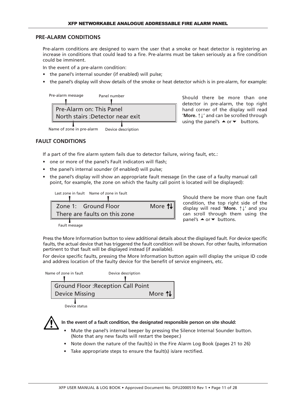## **PRE-ALARM CONDITIONS**

Pre-alarm conditions are designed to warn the user that a smoke or heat detector is registering an increase in conditions that could lead to a fire. Pre-alarms must be taken seriously as a fire condition could be imminent.

In the event of a pre-alarm condition:

- the panel's internal sounder (if enabled) will pulse;
- the panel's display will show details of the smoke or heat detector which is in pre-alarm, for example:



Should there be more than one detector in pre-alarm, the top right hand corner of the display will read '**More.** ↑↓' and can be scrolled through using the panel's  $\triangle$  or  $\blacktriangleright$  buttons.

# **FAULT CONDITIONS**

If a part of the fire alarm system fails due to detector failure, wiring fault, etc.:

- one or more of the panel's Fault indicators will flash;
- the panel's internal sounder (if enabled) will pulse;
- the panel's display will show an appropriate fault message (in the case of a faulty manual call point, for example, the zone on which the faulty call point is located will be displayed):

Last zone in fault Name of zone in fault



Should there be more than one fault condition, the top right side of the display will read '**More.** ↑↓' and you can scroll through them using the panel's  $\triangle$  or  $\blacktriangledown$  buttons.

Fault message

Press the More Information button to view additional details about the displayed fault. For device specific faults, the actual device that has triggered the fault condition will be shown. For other faults, information pertinent to that fault will be displayed instead (if available).

For device specific faults, pressing the More Information button again will display the unique ID code and address location of the faulty device for the benefit of service engineers, etc.

| Name of zone in fault |                                           | Device description |
|-----------------------|-------------------------------------------|--------------------|
|                       |                                           |                    |
|                       | <b>Ground Floor: Reception Call Point</b> |                    |
|                       | <b>Device Missing</b>                     | More 1             |
|                       |                                           |                    |

Device status



**In the event of a fault condition, the designated responsible person on site should:**

- Mute the panel's internal beeper by pressing the Silence Internal Sounder button. (Note that any new faults will restart the beeper.)
- Note down the nature of the fault(s) in the Fire Alarm Log Book (pages 21 to 26)
- Take appropriate steps to ensure the fault(s) is/are rectified.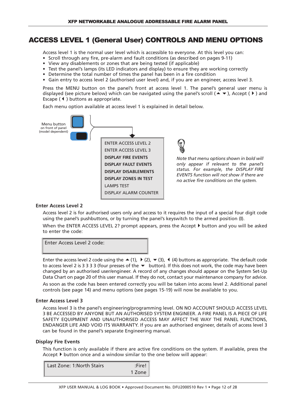# ACCESS LEVEL 1 (General User) CONTROLS AND MENU OPTIONS

Access level 1 is the normal user level which is accessible to everyone. At this level you can:

- Scroll through any fire, pre-alarm and fault conditions (as described on pages 9-11)
- View any disablements or zones that are being tested (if applicable)
- Test the panel's lamps (its LED indicators and display) to ensure they are working correctly
- Determine the total number of times the panel has been in a fire condition
- Gain entry to access level 2 (authorised user level) and, if you are an engineer, access level 3.

Press the MENU button on the panel's front at access level 1. The panel's general user menu is displayed (see picture below) which can be navigated using the panel's scroll ( $\blacktriangle$   $\blacktriangledown$ ), Accept ( $\blacktriangleright$ ) and Escape  $(4)$  buttons as appropriate.

Each menu option available at access level 1 is explained in detail below.



## **Enter Access Level 2**

Access level 2 is for authorised users only and access to it requires the input of a special four digit code using the panel's pushbuttons, or by turning the panel's keyswitch to the armed position (**I**). When the ENTER ACCESS LEVEL 2? prompt appears, press the Accept  $\blacktriangleright$  button and you will be asked to enter the code:

Enter Access Level 2 code:

Enter the access level 2 code using the  $\blacktriangle$  (1),  $\blacktriangleright$  (2),  $\blacktriangleright$  (3), 4 (4) buttons as appropriate. The default code to access level 2 is 3 3 3 3 (four presses of the  $\bullet$  button). If this does not work, the code may have been changed by an authorised user/engineer. A record of any changes should appear on the System Set-Up Data Chart on page 20 of this user manual. If they do not, contact your maintenance company for advice. As soon as the code has been entered correctly you will be taken into access level 2. Additional panel controls (see page 14) and menu options (see pages 15-19) will now be available to you.

#### **Enter Access Level 3**

Access level 3 is the panel's engineering/programming level. ON NO ACCOUNT SHOULD ACCESS LEVEL 3 BE ACCESSED BY ANYONE BUT AN AUTHORISED SYSTEM ENGINEER. A FIRE PANEL IS A PIECE OF LIFE SAFETY EQUIPMENT AND UNAUTHORISED ACCESS MAY AFFECT THE WAY THE PANEL FUNCTIONS, ENDANGER LIFE AND VOID ITS WARRANTY. If you are an authorised engineer, details of access level 3 can be found in the panel's separate Engineering manual.

# **Display Fire Events**

This function is only available if there are active fire conditions on the system. If available, press the Accept  $\blacktriangleright$  button once and a window similar to the one below will appear:

| l Last Zone: 1:North Stairs' | :Fire! |
|------------------------------|--------|
|                              | 1 Zone |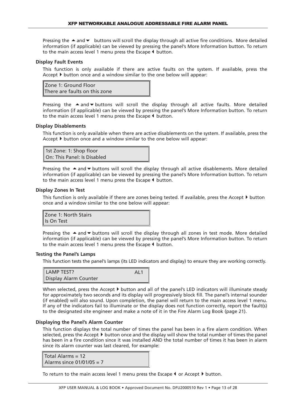Pressing the  $\blacktriangle$  and  $\blacktriangledown$  buttons will scroll the display through all active fire conditions. More detailed information (if applicable) can be viewed by pressing the panel's More Information button. To return to the main access level 1 menu press the Escape  $\blacklozenge$  button.

#### **Display Fault Events**

This function is only available if there are active faults on the system. If available, press the Accept  $\blacktriangleright$  button once and a window similar to the one below will appear:

Zone 1: Ground Floor There are faults on this zone

Pressing the  $\blacktriangle$  and  $\blacktriangledown$  buttons will scroll the display through all active faults. More detailed information (if applicable) can be viewed by pressing the panel's More Information button. To return to the main access level 1 menu press the Escape  $\blacklozenge$  button.

#### **Display Disablements**

This function is only available when there are active disablements on the system. If available, press the Accept  $\blacktriangleright$  button once and a window similar to the one below will appear:

| 1st Zone: 1: Shop floor<br>On: This Panel: Is Disabled |  |
|--------------------------------------------------------|--|

Pressing the  $\triangle$  and  $\blacktriangledown$  buttons will scroll the display through all active disablements. More detailed information (if applicable) can be viewed by pressing the panel's More Information button. To return to the main access level 1 menu press the Escape  $\blacklozenge$  button.

#### **Display Zones In Test**

This function is only available if there are zones being tested. If available, press the Accept  $\blacktriangleright$  button once and a window similar to the one below will appear:

| Zone 1: North Stairs |
|----------------------|
| Is On Test           |

Pressing the  $\triangle$  and  $\blacktriangledown$  buttons will scroll the display through all zones in test mode. More detailed information (if applicable) can be viewed by pressing the panel's More Information button. To return to the main access level 1 menu press the Escape  $\blacklozenge$  button.

#### **Testing the Panel's Lamps**

This function tests the panel's lamps (its LED indicators and display) to ensure they are working correctly.



When selected, press the Accept  $\blacktriangleright$  button and all of the panel's LED indicators will illuminate steady for approximately two seconds and its display will progressively block fill. The panel's internal sounder (if enabled) will also sound. Upon completion, the panel will return to the main access level 1 menu. If any of the indicators fail to illuminate or the display does not function correctly, report the fault(s) to the designated site engineer and make a note of it in the Fire Alarm Log Book (page 21).

#### **Displaying the Panel's Alarm Counter**

This function displays the total number of times the panel has been in a fire alarm condition. When selected, press the Accept  $\blacktriangleright$  button once and the display will show the total number of times the panel has been in a fire condition since it was installed AND the total number of times it has been in alarm since its alarm counter was last cleared, for example:

```
Total Alarms = 12
Alarms since 01/01/05 = 7
```
To return to the main access level 1 menu press the Escape  $\blacklozenge$  or Accept  $\blacktriangleright$  button.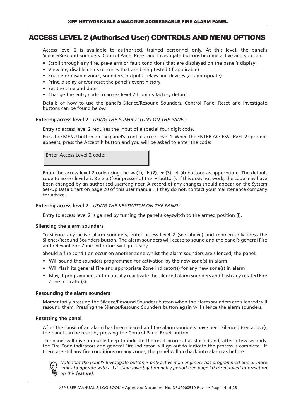# ACCESS LEVEL 2 (Authorised User) CONTROLS AND MENU OPTIONS

Access level 2 is available to authorised, trained personnel only. At this level, the panel's Silence/Resound Sounders, Control Panel Reset and Investigate buttons become active and you can:

- Scroll through any fire, pre-alarm or fault conditions that are displayed on the panel's display
- View any disablements or zones that are being tested (if applicable)
- Enable or disable zones, sounders, outputs, relays and devices (as appropriate)
- Print, display and/or reset the panel's event history
- Set the time and date
- Change the entry code to access level 2 from its factory default.

Details of how to use the panel's Silence/Resound Sounders, Control Panel Reset and Investigate buttons can be found below.

#### **Entering access level 2 -** *USING THE PUSHBUTTONS ON THE PANEL:*

Entry to access level 2 requires the input of a special four digit code.

Press the MENU button on the panel's front at access level 1. When the ENTER ACCESS LEVEL 2? prompt appears, press the Accept  $\blacktriangleright$  button and you will be asked to enter the code:

Enter Access Level 2 code:

Enter the access level 2 code using the  $\triangle$  (1),  $\triangleright$  (2),  $\triangleright$  (3), 4 (4) buttons as appropriate. The default code to access level 2 is 3 3 3 3 3 (four presses of the  $\blacktriangledown$  button). If this does not work, the code may have been changed by an authorised user/engineer. A record of any changes should appear on the System Set-Up Data Chart on page 20 of this user manual. If they do not, contact your maintenance company for advice.

#### **Entering access level 2 -** *USING THE KEYSWITCH ON THE PANEL:*

Entry to access level 2 is gained by turning the panel's keyswitch to the armed position (**I**).

#### **Silencing the alarm sounders**

To silence any active alarm sounders, enter access level 2 (see above) and momentarily press the Silence/Resound Sounders button. The alarm sounders will cease to sound and the panel's general Fire and relevant Fire Zone indicators will go steady.

Should a fire condition occur on another zone whilst the alarm sounders are silenced, the panel:

- Will sound the sounders programmed for activation by the new zone(s) in alarm
- Will flash its general Fire and appropriate Zone indicator(s) for any new zone(s) in alarm
- May, if programmed, automatically reactivate the silenced alarm sounders and flash any related Fire Zone indicator(s).

#### **Resounding the alarm sounders**

Momentarily pressing the Silence/Resound Sounders button when the alarm sounders are silenced will resound them. Pressing the Silence/Resound Sounders button again will silence the alarm sounders.

#### **Resetting the panel**

After the cause of an alarm has been cleared and the alarm sounders have been silenced (see above), the panel can be reset by pressing the Control Panel Reset button.

The panel will give a double beep to indicate the reset process has started and, after a few seconds, the Fire Zone indicators and general Fire indicator will go out to indicate the process is complete. If there are still any fire conditions on any zones, the panel will go back into alarm as before.



*Note that the panel's Investigate button is only active if an engineer has programmed one or more zones to operate with a 1st-stage investigation delay period (see page 10 for detailed information on this feature).*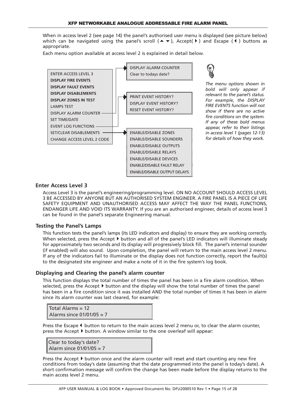When in access level 2 (see page 14) the panel's authorised user menu is displayed (see picture below) which can be navigated using the panel's scroll ( $\blacktriangle$   $\blacktriangledown$ ), Accept( $\blacktriangleright$ ) and Escape ( $\blacktriangleleft$ ) buttons as appropriate.

Each menu option available at access level 2 is explained in detail below.



*The menu options shown in bold will only appear if relevant to the panel's status. For example, the DISPLAY FIRE EVENTS function will not show if there are no active fire conditions on the system. If any of these bold menus appear, refer to their listings in access level 1 (pages 12-13) for details of how they work.*

# **Enter Access Level 3**

Access Level 3 is the panel's engineering/programming level. ON NO ACCOUNT SHOULD ACCESS LEVEL 3 BE ACCESSED BY ANYONE BUT AN AUTHORISED SYSTEM ENGINEER. A FIRE PANEL IS A PIECE OF LIFE SAFETY EQUIPMENT AND UNAUTHORISED ACCESS MAY AFFECT THE WAY THE PANEL FUNCTIONS, ENDANGER LIFE AND VOID ITS WARRANTY. If you are an authorised engineer, details of access level 3 can be found in the panel's separate Engineering manual.

# **Testing the Panel's Lamps**

This function tests the panel's lamps (its LED indicators and display) to ensure they are working correctly. When selected, press the Accept  $\blacktriangleright$  button and all of the panel's LED indicators will illuminate steady for approximately two seconds and its display will progressively block fill. The panel's internal sounder (if enabled) will also sound. Upon completion, the panel will return to the main access level 2 menu. If any of the indicators fail to illuminate or the display does not function correctly, report the fault(s) to the designated site engineer and make a note of it in the fire system's log book.

# **Displaying and Clearing the panel's alarm counter**

This function displays the total number of times the panel has been in a fire alarm condition. When selected, press the Accept  $\blacktriangleright$  button and the display will show the total number of times the panel has been in a fire condition since it was installed AND the total number of times it has been in alarm since its alarm counter was last cleared, for example:

Total Alarms = 12 Alarms since 01/01/05 = 7

Press the Escape  $\blacklozenge$  button to return to the main access level 2 menu or, to clear the alarm counter, press the Accept  $\blacktriangleright$  button. A window similar to the one overleaf will appear:

Clear to today's date? Alarm since 01/01/05 = 7

Press the Accept  $\blacktriangleright$  button once and the alarm counter will reset and start counting any new fire conditions from today's date (assuming that the date programmed into the panel is today's date). A short confirmation message will confirm the change has been made before the display returns to the main access level 2 menu.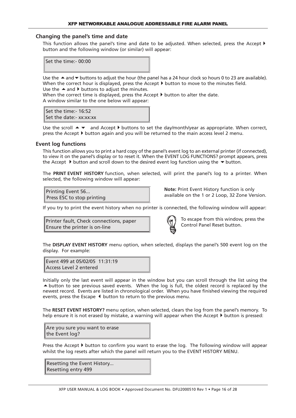#### **Changing the panel's time and date**

This function allows the panel's time and date to be adjusted. When selected, press the Accept  $\blacktriangleright$ button and the following window (or similar) will appear:

Set the time:- 00:00

Use the  $\triangle$  and  $\triangledown$  buttons to adjust the hour (the panel has a 24 hour clock so hours 0 to 23 are available). When the correct hour is displayed, press the Accept  $\blacktriangleright$  button to move to the minutes field. Use the  $\triangle$  and  $\blacktriangleright$  buttons to adjust the minutes.

When the correct time is displayed, press the Accept  $\blacktriangleright$  button to alter the date. A window similar to the one below will appear:

Set the time:- 16:52 Set the date:- xx:xx:xx

Use the scroll  $\blacktriangle$   $\blacktriangledown$  and Accept  $\blacktriangleright$  buttons to set the day/month/year as appropriate. When correct, press the Accept  $\blacktriangleright$  button again and you will be returned to the main access level 2 menu.

#### **Event log functions**

This function allows you to print a hard copy of the panel's event log to an external printer (if connected), to view it on the panel's display or to reset it. When the EVENT LOG FUNCTIONS? prompt appears, press the Accept  $\blacktriangleright$  button and scroll down to the desired event log function using the  $\blacktriangleright$  button.

The **PRINT EVENT HISTORY** function, when selected, will print the panel's log to a printer. When selected, the following window will appear:

Printing Event 56... Press ESC to stop printing **Note:** Print Event History function is only available on the 1 or 2 Loop, 32 Zone Version.

If you try to print the event history when no printer is connected, the following window will appear:

Printer fault, Check connections, paper Ensure the printer is on-line



To escape from this window, press the Control Panel Reset button.

The **DISPLAY EVENT HISTORY** menu option, when selected, displays the panel's 500 event log on the display. For example:

Event 499 at 05/02/05 11:31:19 Access Level 2 entered

Initially only the last event will appear in the window but you can scroll through the list using the  $\triangle$  button to see previous saved events. When the log is full, the oldest record is replaced by the newest record. Events are listed in chronological order. When you have finished viewing the required events, press the Escape  $\blacklozenge$  button to return to the previous menu.

The **RESET EVENT HISTORY?** menu option, when selected, clears the log from the panel's memory. To help ensure it is not erased by mistake, a warning will appear when the Accept  $\blacktriangleright$  button is pressed:

Are you sure you want to erase the Event log?

Press the Accept  $\blacktriangleright$  button to confirm you want to erase the log. The following window will appear whilst the log resets after which the panel will return you to the EVENT HISTORY MENU.

Resetting the Event History... Resetting entry 499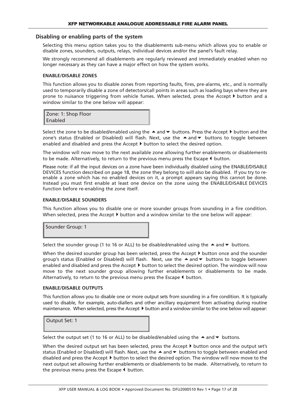# **Disabling or enabling parts of the system**

Selecting this menu option takes you to the disablements sub-menu which allows you to enable or disable zones, sounders, outputs, relays, individual devices and/or the panel's fault relay.

We strongly recommend all disablements are regularly reviewed and immediately enabled when no longer necessary as they can have a major effect on how the system works.

#### **ENABLE/DISABLE ZONES**

This function allows you to disable zones from reporting faults, fires, pre-alarms, etc., and is normally used to temporarily disable a zone of detectors/call points in areas such as loading bays where they are prone to nuisance triggering from vehicle fumes. When selected, press the Accept  $\blacktriangleright$  button and a window similar to the one below will appear:

| Zone: 1: Shop Floor |  |
|---------------------|--|
| Enabled             |  |

Select the zone to be disabled/enabled using the  $\blacktriangle$  and  $\blacktriangledown$  buttons. Press the Accept  $\blacktriangleright$  button and the zone's status (Enabled or Disabled) will flash. Next, use the  $\triangle$  and  $\blacktriangledown$  buttons to toggle between enabled and disabled and press the Accept  $\blacktriangleright$  button to select the desired option.

The window will now move to the next available zone allowing further enablements or disablements to be made. Alternatively, to return to the previous menu press the Escape  $\blacklozenge$  button.

Please note: if all the input devices on a zone have been individually disabled using the ENABLE/DISABLE DEVICES function described on page 18, the zone they belong to will also be disabled. If you try to reenable a zone which has no enabled devices on it, a prompt appears saying this cannot be done. Instead you must first enable at least one device on the zone using the ENABLE/DISABLE DEVICES function before re-enabling the zone itself.

#### **ENABLE/DISABLE SOUNDERS**

This function allows you to disable one or more sounder groups from sounding in a fire condition. When selected, press the Accept  $\blacktriangleright$  button and a window similar to the one below will appear:

Sounder Group: 1

Select the sounder group (1 to 16 or ALL) to be disabled/enabled using the  $\blacktriangle$  and  $\blacktriangledown$  buttons.

When the desired sounder group has been selected, press the Accept  $\blacktriangleright$  button once and the sounder group's status (Enabled or Disabled) will flash. Next, use the  $\triangle$  and  $\blacktriangledown$  buttons to toggle between enabled and disabled and press the Accept  $\blacktriangleright$  button to select the desired option. The window will now move to the next sounder group allowing further enablements or disablements to be made. Alternatively, to return to the previous menu press the Escape  $\blacklozenge$  button.

#### **ENABLE/DISABLE OUTPUTS**

This function allows you to disable one or more output sets from sounding in a fire condition. It is typically used to disable, for example, auto-diallers and other ancillary equipment from activating during routine maintenance. When selected, press the Accept  $\blacktriangleright$  button and a window similar to the one below will appear:

Output Set: 1

Select the output set (1 to 16 or ALL) to be disabled/enabled using the  $\blacktriangle$  and  $\blacktriangledown$  buttons.

When the desired output set has been selected, press the Accept  $\blacktriangleright$  button once and the output set's status (Enabled or Disabled) will flash. Next, use the  $\triangle$  and  $\blacktriangledown$  buttons to toggle between enabled and disabled and press the Accept  $\blacktriangleright$  button to select the desired option. The window will now move to the next output set allowing further enablements or disablements to be made. Alternatively, to return to the previous menu press the Escape  $\triangleleft$  button.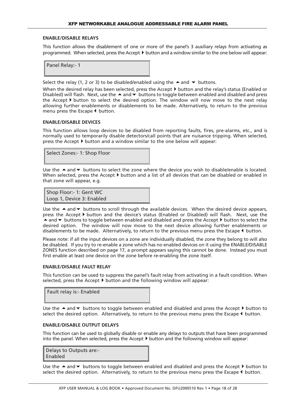#### **ENABLE/DISABLE RELAYS**

This function allows the disablement of one or more of the panel's 3 auxiliary relays from activating as programmed. When selected, press the Accept  $\blacktriangleright$  button and a window similar to the one below will appear:

| Panel Relay:- 1 |  |
|-----------------|--|
|                 |  |

Select the relay (1, 2 or 3) to be disabled/enabled using the  $\blacktriangle$  and  $\blacktriangledown$  buttons.

When the desired relay has been selected, press the Accept  $\blacktriangleright$  button and the relay's status (Enabled or Disabled) will flash. Next, use the  $\blacktriangle$  and  $\blacktriangledown$  buttons to toggle between enabled and disabled and press the Accept  $\blacktriangleright$  button to select the desired option. The window will now move to the next relay allowing further enablements or disablements to be made. Alternatively, to return to the previous menu press the Escape  $\blacklozenge$  button.

#### **ENABLE/DISABLE DEVICES**

This function allows loop devices to be disabled from reporting faults, fires, pre-alarms, etc., and is normally used to temporarily disable detectors/call points that are nuisance tripping. When selected, press the Accept  $\blacktriangleright$  button and a window similar to the one below will appear:



Use the  $\triangle$  and  $\blacktriangledown$  buttons to select the zone where the device you wish to disable/enable is located. When selected, press the Accept  $\blacktriangleright$  button and a list of all devices that can be disabled or enabled in that zone will appear, e.g.

Shop Floor:- 1: Gent WC Loop 1, Device 3: Enabled

Use the  $\triangle$  and  $\blacktriangledown$  buttons to scroll through the available devices. When the desired device appears, press the Accept button and the device's status (Enabled or Disabled) will flash. Next, use the  $\blacktriangle$  and  $\blacktriangledown$  buttons to toggle between enabled and disabled and press the Accept  $\blacktriangleright$  button to select the desired option. The window will now move to the next device allowing further enablements or disablements to be made. Alternatively, to return to the previous menu press the Escape  $\blacklozenge$  button.

Please note: if all the input devices on a zone are individually disabled, the zone they belong to will also be disabled. If you try to re-enable a zone which has no enabled devices on it using the ENABLE/DISABLE ZONES function described on page 17, a prompt appears saying this cannot be done. Instead you must first enable at least one device on the zone before re-enabling the zone itself.

#### **ENABLE/DISABLE FAULT RELAY**

This function can be used to suppress the panel's fault relay from activating in a fault condition. When selected, press the Accept  $\blacktriangleright$  button and the following window will appear:

| Fault relay is:- Enabled |  |
|--------------------------|--|
|                          |  |

Use the  $\triangle$  and  $\blacktriangledown$  buttons to toggle between enabled and disabled and press the Accept  $\blacktriangleright$  button to select the desired option. Alternatively, to return to the previous menu press the Escape  $\blacktriangleleft$  button.

#### **ENABLE/DISABLE OUTPUT DELAYS**

This function can be used to globally disable or enable any delays to outputs that have been programmed into the panel. When selected, press the Accept  $\blacktriangleright$  button and the following window will appear:

| Delays to Outputs are:- |  |
|-------------------------|--|
| Enabled                 |  |

Use the  $\triangle$  and  $\blacktriangledown$  buttons to toggle between enabled and disabled and press the Accept  $\blacktriangleright$  button to select the desired option. Alternatively, to return to the previous menu press the Escape  $\blacklozenge$  button.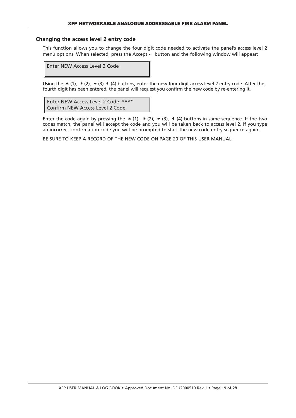## **Changing the access level 2 entry code**

This function allows you to change the four digit code needed to activate the panel's access level 2 menu options. When selected, press the Accept  $\bullet$  button and the following window will appear:

Enter NEW Access Level 2 Code

Using the  $\blacktriangle$  (1),  $\blacktriangleright$  (2),  $\blacktriangleright$  (3), 4 (4) buttons, enter the new four digit access level 2 entry code. After the fourth digit has been entered, the panel will request you confirm the new code by re-entering it.

Enter NEW Access Level 2 Code: \*\*\*\* Confirm NEW Access Level 2 Code:

Enter the code again by pressing the  $\blacktriangle$  (1),  $\blacktriangleright$  (2),  $\blacktriangleright$  (3), 4 (4) buttons in same sequence. If the two codes match, the panel will accept the code and you will be taken back to access level 2. If you type an incorrect confirmation code you will be prompted to start the new code entry sequence again.

BE SURE TO KEEP A RECORD OF THE NEW CODE ON PAGE 20 OF THIS USER MANUAL.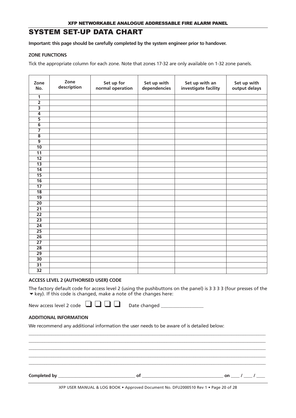# SYSTEM SET-UP DATA CHART

**Important: this page should be carefully completed by the system engineer prior to handover.**

#### **ZONE FUNCTIONS**

Tick the appropriate column for each zone. Note that zones 17-32 are only available on 1-32 zone panels.

| Zone<br>No.             | Zone<br>description | Set up for<br>normal operation | Set up with<br>dependencies | Set up with an<br>investigate facility | Set up with<br>output delays |
|-------------------------|---------------------|--------------------------------|-----------------------------|----------------------------------------|------------------------------|
| 1                       |                     |                                |                             |                                        |                              |
| $\overline{2}$          |                     |                                |                             |                                        |                              |
| $\overline{\mathbf{3}}$ |                     |                                |                             |                                        |                              |
| $\overline{4}$          |                     |                                |                             |                                        |                              |
| $\overline{5}$          |                     |                                |                             |                                        |                              |
| $\overline{6}$          |                     |                                |                             |                                        |                              |
|                         |                     |                                |                             |                                        |                              |
| $\overline{\mathbf{8}}$ |                     |                                |                             |                                        |                              |
| $\overline{9}$          |                     |                                |                             |                                        |                              |
| $\overline{10}$         |                     |                                |                             |                                        |                              |
| $\overline{11}$         |                     |                                |                             |                                        |                              |
| $\overline{12}$         |                     |                                |                             |                                        |                              |
| $\overline{13}$         |                     |                                |                             |                                        |                              |
| $\overline{14}$         |                     |                                |                             |                                        |                              |
| $\overline{15}$         |                     |                                |                             |                                        |                              |
| $\overline{16}$         |                     |                                |                             |                                        |                              |
| $\overline{17}$         |                     |                                |                             |                                        |                              |
| $\overline{18}$         |                     |                                |                             |                                        |                              |
| $\overline{19}$         |                     |                                |                             |                                        |                              |
| $\overline{20}$         |                     |                                |                             |                                        |                              |
| $\overline{21}$         |                     |                                |                             |                                        |                              |
| $\overline{22}$         |                     |                                |                             |                                        |                              |
| $\overline{23}$         |                     |                                |                             |                                        |                              |
| $\overline{24}$         |                     |                                |                             |                                        |                              |
| $\overline{25}$         |                     |                                |                             |                                        |                              |
| $\overline{26}$         |                     |                                |                             |                                        |                              |
| $\overline{27}$         |                     |                                |                             |                                        |                              |
| $\overline{28}$         |                     |                                |                             |                                        |                              |
| $\overline{29}$         |                     |                                |                             |                                        |                              |
| $\overline{30}$         |                     |                                |                             |                                        |                              |
| $\overline{31}$         |                     |                                |                             |                                        |                              |
| $\overline{32}$         |                     |                                |                             |                                        |                              |

#### **ACCESS LEVEL 2 (AUTHORISED USER) CODE**

The factory default code for access level 2 (using the pushbuttons on the panel) is 3 3 3 3 (four presses of the  $\blacktriangleright$  key). If this code is changed, make a note of the changes here:

New access level <sup>2</sup> code ❑ ❑ ❑ ❑ Date changed \_\_\_\_\_\_\_\_\_\_\_\_\_\_\_\_\_\_

\_\_\_\_\_\_\_\_\_\_\_\_\_\_\_\_\_\_\_\_\_\_\_\_\_\_\_\_\_\_\_\_\_\_\_\_\_\_\_\_\_\_\_\_\_\_\_\_\_\_\_\_\_\_\_\_\_\_\_\_\_\_\_\_\_\_\_\_\_\_\_\_\_\_\_\_\_\_\_\_\_\_\_\_\_\_\_\_\_\_\_\_\_\_\_\_\_\_\_\_\_\_\_\_\_ \_\_\_\_\_\_\_\_\_\_\_\_\_\_\_\_\_\_\_\_\_\_\_\_\_\_\_\_\_\_\_\_\_\_\_\_\_\_\_\_\_\_\_\_\_\_\_\_\_\_\_\_\_\_\_\_\_\_\_\_\_\_\_\_\_\_\_\_\_\_\_\_\_\_\_\_\_\_\_\_\_\_\_\_\_\_\_\_\_\_\_\_\_\_\_\_\_\_\_\_\_\_\_\_\_ \_\_\_\_\_\_\_\_\_\_\_\_\_\_\_\_\_\_\_\_\_\_\_\_\_\_\_\_\_\_\_\_\_\_\_\_\_\_\_\_\_\_\_\_\_\_\_\_\_\_\_\_\_\_\_\_\_\_\_\_\_\_\_\_\_\_\_\_\_\_\_\_\_\_\_\_\_\_\_\_\_\_\_\_\_\_\_\_\_\_\_\_\_\_\_\_\_\_\_\_\_\_\_\_\_ \_\_\_\_\_\_\_\_\_\_\_\_\_\_\_\_\_\_\_\_\_\_\_\_\_\_\_\_\_\_\_\_\_\_\_\_\_\_\_\_\_\_\_\_\_\_\_\_\_\_\_\_\_\_\_\_\_\_\_\_\_\_\_\_\_\_\_\_\_\_\_\_\_\_\_\_\_\_\_\_\_\_\_\_\_\_\_\_\_\_\_\_\_\_\_\_\_\_\_\_\_\_\_\_\_  $\_$  ,  $\_$  ,  $\_$  ,  $\_$  ,  $\_$  ,  $\_$  ,  $\_$  ,  $\_$  ,  $\_$  ,  $\_$  ,  $\_$  ,  $\_$  ,  $\_$  ,  $\_$  ,  $\_$  ,  $\_$  ,  $\_$  ,  $\_$  ,  $\_$  ,  $\_$  ,  $\_$  ,  $\_$  ,  $\_$  ,  $\_$  ,  $\_$  ,  $\_$  ,  $\_$  ,  $\_$  ,  $\_$  ,  $\_$  ,  $\_$  ,  $\_$  ,  $\_$  ,  $\_$  ,  $\_$  ,  $\_$  ,  $\_$  ,

## **ADDITIONAL INFORMATION**

We recommend any additional information the user needs to be aware of is detailed below:

**Completed by \_\_\_\_\_\_\_\_\_\_\_\_\_\_\_\_\_\_\_\_\_\_\_\_\_\_\_\_\_\_\_\_\_\_\_\_ of \_\_\_\_\_\_\_\_\_\_\_\_\_\_\_\_\_\_\_\_\_\_\_\_\_\_\_\_\_\_\_\_\_\_\_\_\_\_ on \_\_\_\_ / \_\_\_\_ / \_\_\_\_**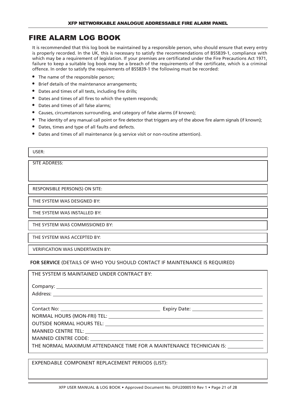# FIRE ALARM LOG BOOK

It is recommended that this log book be maintained by a responsible person, who should ensure that every entry is properly recorded. In the UK, this is necessary to satisfy the recommendations of BS5839-1, compliance with which may be a requirement of legislation. If your premises are certificated under the Fire Precautions Act 1971, failure to keep a suitable log book may be a breach of the requirements of the certificate, which is a criminal offence. In order to satisfy the requirements of BS5839-1 the following must be recorded:

- The name of the responsible person;
- Brief details of the maintenance arrangements;
- Dates and times of all tests, including fire drills;
- Dates and times of all fires to which the system responds;
- Dates and times of all false alarms;
- Causes, circumstances surrounding, and category of false alarms (if known);
- The identity of any manual call point or fire detector that triggers any of the above fire alarm signals (if known);
- Dates, times and type of all faults and defects.
- Dates and times of all maintenance (e.g service visit or non-routine attention).

SITE ADDRESS:

RESPONSIBLE PERSON(S) ON SITE:

THE SYSTEM WAS DESIGNED BY:

THE SYSTEM WAS INSTALLED BY:

THE SYSTEM WAS COMMISSIONED BY:

THE SYSTEM WAS ACCEPTED BY:

VERIFICATION WAS UNDERTAKEN BY:

**FOR SERVICE** (DETAILS OF WHO YOU SHOULD CONTACT IF MAINTENANCE IS REQUIRED)

| THE SYSTEM IS MAINTAINED UNDER CONTRACT BY:                                       |  |
|-----------------------------------------------------------------------------------|--|
|                                                                                   |  |
|                                                                                   |  |
|                                                                                   |  |
|                                                                                   |  |
|                                                                                   |  |
|                                                                                   |  |
|                                                                                   |  |
|                                                                                   |  |
| THE NORMAL MAXIMUM ATTENDANCE TIME FOR A MAINTENANCE TECHNICIAN IS: _____________ |  |
|                                                                                   |  |

EXPENDABLE COMPONENT REPLACEMENT PERIODS (LIST):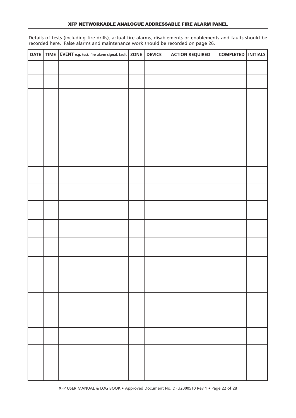Details of tests (including fire drills), actual fire alarms, disablements or enablements and faults should be recorded here. False alarms and maintenance work should be recorded on page 26.

| DATE | TIME   EVENT e.g. test, fire alarm signal, fault   $ZONE$ | <b>DEVICE</b> | <b>ACTION REQUIRED</b> | COMPLETED   INITIALS |  |
|------|-----------------------------------------------------------|---------------|------------------------|----------------------|--|
|      |                                                           |               |                        |                      |  |
|      |                                                           |               |                        |                      |  |
|      |                                                           |               |                        |                      |  |
|      |                                                           |               |                        |                      |  |
|      |                                                           |               |                        |                      |  |
|      |                                                           |               |                        |                      |  |
|      |                                                           |               |                        |                      |  |
|      |                                                           |               |                        |                      |  |
|      |                                                           |               |                        |                      |  |
|      |                                                           |               |                        |                      |  |
|      |                                                           |               |                        |                      |  |
|      |                                                           |               |                        |                      |  |
|      |                                                           |               |                        |                      |  |
|      |                                                           |               |                        |                      |  |
|      |                                                           |               |                        |                      |  |
|      |                                                           |               |                        |                      |  |
|      |                                                           |               |                        |                      |  |
|      |                                                           |               |                        |                      |  |
|      |                                                           |               |                        |                      |  |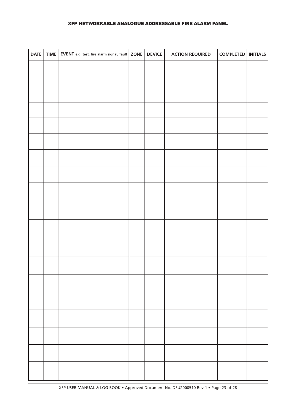| DATE | TIME   EVENT e.g. test, fire alarm signal, fault   ZONE   DEVICE |  | <b>ACTION REQUIRED</b> | COMPLETED   INITIALS |  |
|------|------------------------------------------------------------------|--|------------------------|----------------------|--|
|      |                                                                  |  |                        |                      |  |
|      |                                                                  |  |                        |                      |  |
|      |                                                                  |  |                        |                      |  |
|      |                                                                  |  |                        |                      |  |
|      |                                                                  |  |                        |                      |  |
|      |                                                                  |  |                        |                      |  |
|      |                                                                  |  |                        |                      |  |
|      |                                                                  |  |                        |                      |  |
|      |                                                                  |  |                        |                      |  |
|      |                                                                  |  |                        |                      |  |
|      |                                                                  |  |                        |                      |  |
|      |                                                                  |  |                        |                      |  |
|      |                                                                  |  |                        |                      |  |
|      |                                                                  |  |                        |                      |  |
|      |                                                                  |  |                        |                      |  |
|      |                                                                  |  |                        |                      |  |
|      |                                                                  |  |                        |                      |  |
|      |                                                                  |  |                        |                      |  |
|      |                                                                  |  |                        |                      |  |
|      |                                                                  |  |                        |                      |  |
|      |                                                                  |  |                        |                      |  |
|      |                                                                  |  |                        |                      |  |
|      |                                                                  |  |                        |                      |  |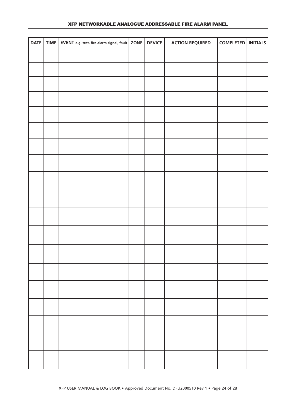|  | DATE   TIME   EVENT e.g. test, fire alarm signal, fault   ZONE   DEVICE |  | <b>ACTION REQUIRED</b> | COMPLETED   INITIALS |  |
|--|-------------------------------------------------------------------------|--|------------------------|----------------------|--|
|  |                                                                         |  |                        |                      |  |
|  |                                                                         |  |                        |                      |  |
|  |                                                                         |  |                        |                      |  |
|  |                                                                         |  |                        |                      |  |
|  |                                                                         |  |                        |                      |  |
|  |                                                                         |  |                        |                      |  |
|  |                                                                         |  |                        |                      |  |
|  |                                                                         |  |                        |                      |  |
|  |                                                                         |  |                        |                      |  |
|  |                                                                         |  |                        |                      |  |
|  |                                                                         |  |                        |                      |  |
|  |                                                                         |  |                        |                      |  |
|  |                                                                         |  |                        |                      |  |
|  |                                                                         |  |                        |                      |  |
|  |                                                                         |  |                        |                      |  |
|  |                                                                         |  |                        |                      |  |
|  |                                                                         |  |                        |                      |  |
|  |                                                                         |  |                        |                      |  |
|  |                                                                         |  |                        |                      |  |
|  |                                                                         |  |                        |                      |  |
|  |                                                                         |  |                        |                      |  |
|  |                                                                         |  |                        |                      |  |
|  |                                                                         |  |                        |                      |  |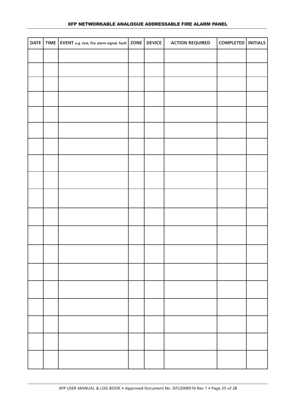## XFP NETWORKABLE ANALOGUE ADDRESSABLE FIRE ALARM PANEL

|  | DATE   TIME   EVENT e.g. test, fire alarm signal, fault   ZONE   DEVICE |  | <b>ACTION REQUIRED</b> | COMPLETED   INITIALS |  |
|--|-------------------------------------------------------------------------|--|------------------------|----------------------|--|
|  |                                                                         |  |                        |                      |  |
|  |                                                                         |  |                        |                      |  |
|  |                                                                         |  |                        |                      |  |
|  |                                                                         |  |                        |                      |  |
|  |                                                                         |  |                        |                      |  |
|  |                                                                         |  |                        |                      |  |
|  |                                                                         |  |                        |                      |  |
|  |                                                                         |  |                        |                      |  |
|  |                                                                         |  |                        |                      |  |
|  |                                                                         |  |                        |                      |  |
|  |                                                                         |  |                        |                      |  |
|  |                                                                         |  |                        |                      |  |
|  |                                                                         |  |                        |                      |  |
|  |                                                                         |  |                        |                      |  |
|  |                                                                         |  |                        |                      |  |
|  |                                                                         |  |                        |                      |  |
|  |                                                                         |  |                        |                      |  |
|  |                                                                         |  |                        |                      |  |
|  |                                                                         |  |                        |                      |  |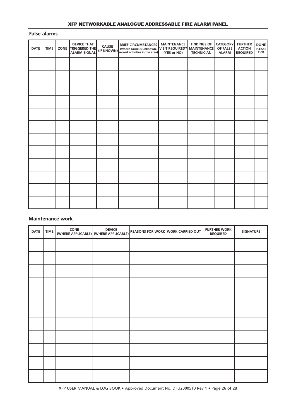## XFP NETWORKABLE ANALOGUE ADDRESSABLE FIRE ALARM PANEL

#### **False alarms**

| <b>DATE</b> | <b>TIME</b> | <b>DEVICE THAT</b><br>ZONE TRIGGERED THE<br><b>ALARM SIGNAL</b> | <b>CAUSE</b><br>(IF KNOWN) | <b>BRIEF CIRCUMSTANCES</b><br>(where cause is unknown, VISIT REQUIRED? MAINTENANCE<br>record activities in the area) | <b>MAINTENANCE</b><br>(YES or NO) | <b>FINDINGS OF</b><br><b>TECHNICIAN</b> | <b>CATEGORY</b><br>OF FALSE<br><b>ALARM</b> | <b>FURTHER</b><br><b>ACTION</b><br><b>REQUIRED</b> | <b>DONE</b><br>PLEASE<br><b>TICK</b> |
|-------------|-------------|-----------------------------------------------------------------|----------------------------|----------------------------------------------------------------------------------------------------------------------|-----------------------------------|-----------------------------------------|---------------------------------------------|----------------------------------------------------|--------------------------------------|
|             |             |                                                                 |                            |                                                                                                                      |                                   |                                         |                                             |                                                    |                                      |
|             |             |                                                                 |                            |                                                                                                                      |                                   |                                         |                                             |                                                    |                                      |
|             |             |                                                                 |                            |                                                                                                                      |                                   |                                         |                                             |                                                    |                                      |
|             |             |                                                                 |                            |                                                                                                                      |                                   |                                         |                                             |                                                    |                                      |
|             |             |                                                                 |                            |                                                                                                                      |                                   |                                         |                                             |                                                    |                                      |
|             |             |                                                                 |                            |                                                                                                                      |                                   |                                         |                                             |                                                    |                                      |
|             |             |                                                                 |                            |                                                                                                                      |                                   |                                         |                                             |                                                    |                                      |
|             |             |                                                                 |                            |                                                                                                                      |                                   |                                         |                                             |                                                    |                                      |
|             |             |                                                                 |                            |                                                                                                                      |                                   |                                         |                                             |                                                    |                                      |
|             |             |                                                                 |                            |                                                                                                                      |                                   |                                         |                                             |                                                    |                                      |
|             |             |                                                                 |                            |                                                                                                                      |                                   |                                         |                                             |                                                    |                                      |
|             |             |                                                                 |                            |                                                                                                                      |                                   |                                         |                                             |                                                    |                                      |

# **Maintenance work**

| <b>DATE</b> | <b>TIME</b> | ZONE<br>(WHERE APPLICABLE) (WHERE APPLICABLE) | <b>DEVICE</b> | <b>REASONS FOR WORK WORK CARRIED OUT</b> | <b>FURTHER WORK</b><br><b>REQUIRED</b> | <b>SIGNATURE</b> |
|-------------|-------------|-----------------------------------------------|---------------|------------------------------------------|----------------------------------------|------------------|
|             |             |                                               |               |                                          |                                        |                  |
|             |             |                                               |               |                                          |                                        |                  |
|             |             |                                               |               |                                          |                                        |                  |
|             |             |                                               |               |                                          |                                        |                  |
|             |             |                                               |               |                                          |                                        |                  |
|             |             |                                               |               |                                          |                                        |                  |
|             |             |                                               |               |                                          |                                        |                  |
|             |             |                                               |               |                                          |                                        |                  |
|             |             |                                               |               |                                          |                                        |                  |
|             |             |                                               |               |                                          |                                        |                  |
|             |             |                                               |               |                                          |                                        |                  |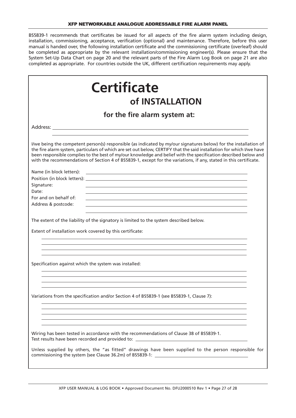#### XFP NETWORKABLE ANALOGUE ADDRESSABLE FIRE ALARM PANEL

BS5839-1 recommends that certificates be issued for all aspects of the fire alarm system including design, installation, commissioning, acceptance, verification (optional) and maintenance. Therefore, before this user manual is handed over, the following installation certificate and the commissioning certificate (overleaf) should be completed as appropriate by the relevant installation/commissioning engineer(s). Please ensure that the System Set-Up Data Chart on page 20 and the relevant parts of the Fire Alarm Log Book on page 21 are also completed as appropriate. For countries outside the UK, different certification requirements may apply.

| <b>Certificate</b>                                                                                                                                                                                                                                                                                                                                                                                                                                                                |
|-----------------------------------------------------------------------------------------------------------------------------------------------------------------------------------------------------------------------------------------------------------------------------------------------------------------------------------------------------------------------------------------------------------------------------------------------------------------------------------|
| of INSTALLATION                                                                                                                                                                                                                                                                                                                                                                                                                                                                   |
| for the fire alarm system at:                                                                                                                                                                                                                                                                                                                                                                                                                                                     |
|                                                                                                                                                                                                                                                                                                                                                                                                                                                                                   |
| I/we being the competent person(s) responsible (as indicated by my/our signatures below) for the installation of<br>the fire alarm system, particulars of which are set out below, CERTIFY that the said installation for which I/we have<br>been responsible complies to the best of my/our knowledge and belief with the specification described below and<br>with the recommendations of Section 4 of BS5839-1, except for the variations, if any, stated in this certificate. |
| Name (in block letters):<br><u> 1989 - Johann Barbara, martxa alemaniar arg</u><br>Position (in block letters): which is a state of the control of the control of the control of the control of the control of the control of the control of the control of the control of the control of the control of the cont<br>Signature:<br>Date:                                                                                                                                          |
| For and on behalf of:<br>Address & postcode:                                                                                                                                                                                                                                                                                                                                                                                                                                      |
| The extent of the liability of the signatory is limited to the system described below.                                                                                                                                                                                                                                                                                                                                                                                            |
| Extent of installation work covered by this certificate:                                                                                                                                                                                                                                                                                                                                                                                                                          |
|                                                                                                                                                                                                                                                                                                                                                                                                                                                                                   |
| Specification against which the system was installed:                                                                                                                                                                                                                                                                                                                                                                                                                             |
| Variations from the specification and/or Section 4 of BS5839-1 (see BS5839-1, Clause 7):                                                                                                                                                                                                                                                                                                                                                                                          |
| Wiring has been tested in accordance with the recommendations of Clause 38 of BS5839-1.<br>Test results have been recorded and provided to: _______________________________<br>Unless supplied by others, the "as fitted" drawings have been supplied to the person responsible for<br>commissioning the system {see Clause 36.2m) of BS5839-1: ________________________                                                                                                          |
|                                                                                                                                                                                                                                                                                                                                                                                                                                                                                   |